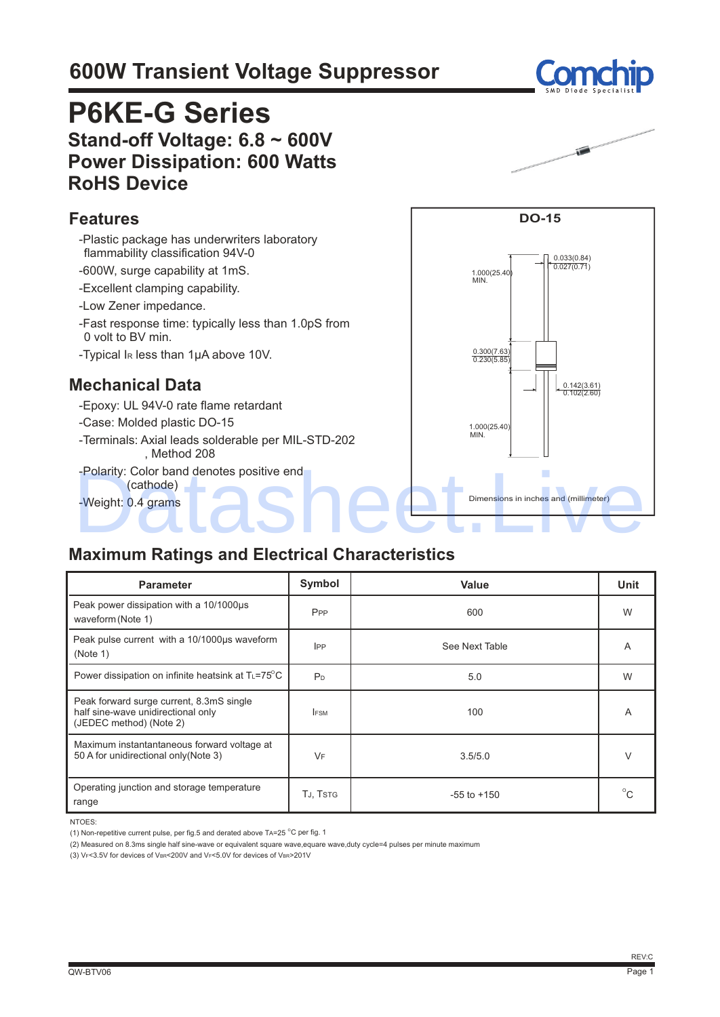# **600W Transient Voltage Suppressor**

# **P6KE-G Series Stand-off Voltage: 6.8 ~ 600V Power Dissipation: 600 Watts RoHS Device**

#### **Features**

- -Plastic package has underwriters laboratory flammability classification 94V-0 -600W, surge capability at 1mS.
- -Excellent clamping capability.
- -Low Zener impedance.
- -Fast response time: typically less than 1.0pS from 0 volt to BV min.
- -Typical IR less than 1μA above 10V.

#### **Mechanical Data**

- -Epoxy: UL 94V-0 rate flame retardant
- -Case: Molded plastic DO-15
- -Terminals: Axial leads solderable per MIL-STD-202 , Method 208
- -Polarity: Color band denotes positive end (cathode) -Polarity: Color band denotes positive end<br>
(cathode)<br>
-Weight: 0.4 grams<br>
-Color band (millimeter)<br>
-Color band (millimeter)<br>
-Color band (millimeter)<br>
-Color band (millimeter)<br>
-Color band (millimeter)<br>
-Color band (mill
- -Weight: 0.4 grams Dimensions in inches and (millimeter)

#### **Maximum Ratings and Electrical Characteristics**

| <b>Parameter</b>                                                                                          | Symbol          | Value           | Unit         |
|-----------------------------------------------------------------------------------------------------------|-----------------|-----------------|--------------|
| Peak power dissipation with a 10/1000us<br>waveform (Note 1)                                              | P <sub>PP</sub> | 600             | W            |
| Peak pulse current with a 10/1000us waveform<br>(Note 1)                                                  | <b>IPP</b>      | See Next Table  | A            |
| Power dissipation on infinite heatsink at $T_L = 75^\circ \text{C}$                                       | P <sub>D</sub>  | 5.0             | W            |
| Peak forward surge current, 8.3mS single<br>half sine-wave unidirectional only<br>(JEDEC method) (Note 2) | <b>FSM</b>      | 100             | Α            |
| Maximum instantantaneous forward voltage at<br>50 A for unidirectional only (Note 3)                      | VF              | 3.5/5.0         |              |
| Operating junction and storage temperature<br>range                                                       | TJ, TSTG        | $-55$ to $+150$ | $^{\circ}$ C |

NTOES:

(2) Measured on 8.3ms single half sine-wave or equivalent square wave,equare wave,duty cycle=4 pulses per minute maximum

(3) VF<3.5V for devices of VBR<200V and VF<5.0V for devices of VBR>201V





0.033(0.84) 0.027(0.71)

0.142(3.61) 0.102(2.60)

**DO-15**

1.000(25.40) MIN.

0.300(7.63) 0.230(5.85)

1.000(25.40) MIN.

<sup>(1)</sup> Non-repetitive current pulse, per fig.5 and derated above TA=25  $^{\circ}$ C per fig. 1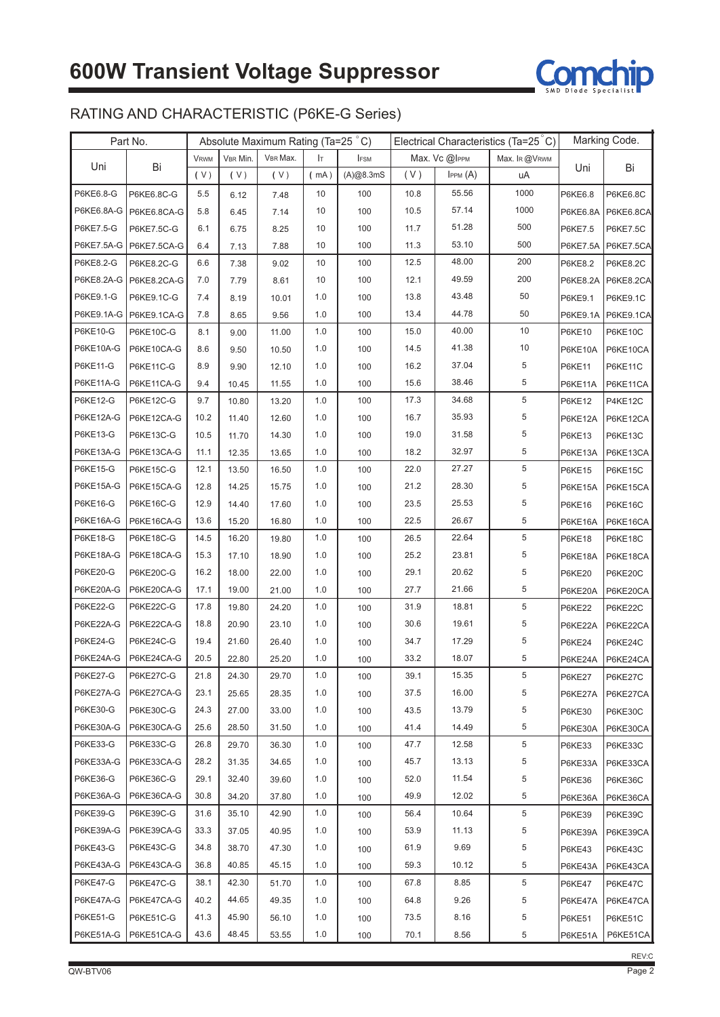

## RATING AND CHARACTERISTIC (P6KE-G Series)

|                 | Part No.         | Absolute Maximum Rating (Ta=25 °C) |          |          | Electrical Characteristics (Ta=25 °C) |             |      | Marking Code. |               |                 |                      |
|-----------------|------------------|------------------------------------|----------|----------|---------------------------------------|-------------|------|---------------|---------------|-----------------|----------------------|
|                 |                  | <b>VRWM</b>                        | VBR Min. | VBR Max. | Iт                                    | <b>IFSM</b> |      | Max. Vc @IPPM | Max. IR @VRWM |                 |                      |
| Uni             | Bi               | (V)                                | (V)      | (V)      | (mA)                                  | (A)@8.3mS   | (V)  | IPPM(A)       | uA            | Uni             | Bi                   |
| P6KE6.8-G       | P6KE6.8C-G       | 5.5                                | 6.12     | 7.48     | 10                                    | 100         | 10.8 | 55.56         | 1000          | P6KE6.8         | <b>P6KE6.8C</b>      |
| P6KE6.8A-G      | P6KE6.8CA-G      | 5.8                                | 6.45     | 7.14     | 10                                    | 100         | 10.5 | 57.14         | 1000          | <b>P6KE6.8A</b> | P6KE6.8CA            |
| P6KE7.5-G       | P6KE7.5C-G       | 6.1                                | 6.75     | 8.25     | 10                                    | 100         | 11.7 | 51.28         | 500           | P6KE7.5         | <b>P6KE7.5C</b>      |
| P6KE7.5A-G      | P6KE7.5CA-G      | 6.4                                | 7.13     | 7.88     | 10                                    | 100         | 11.3 | 53.10         | 500           | <b>P6KE7.5A</b> | P6KE7.5CA            |
| P6KE8.2-G       | P6KE8.2C-G       | 6.6                                | 7.38     | 9.02     | 10                                    | 100         | 12.5 | 48.00         | 200           | P6KE8.2         | P6KE8.2C             |
| P6KE8.2A-G      | P6KE8.2CA-G      | 7.0                                | 7.79     | 8.61     | 10                                    | 100         | 12.1 | 49.59         | 200           |                 | P6KE8.2A   P6KE8.2CA |
| P6KE9.1-G       | P6KE9.1C-G       | 7.4                                | 8.19     | 10.01    | 1.0                                   | 100         | 13.8 | 43.48         | 50            | P6KE9.1         | P6KE9.1C             |
| P6KE9.1A-G      | P6KE9.1CA-G      | 7.8                                | 8.65     | 9.56     | 1.0                                   | 100         | 13.4 | 44.78         | 50            |                 | P6KE9.1A P6KE9.1CA   |
| P6KE10-G        | P6KE10C-G        | 8.1                                | 9.00     | 11.00    | 1.0                                   | 100         | 15.0 | 40.00         | 10            | <b>P6KE10</b>   | P6KE10C              |
| P6KE10A-G       | P6KE10CA-G       | 8.6                                | 9.50     | 10.50    | 1.0                                   | 100         | 14.5 | 41.38         | 10            | P6KE10A         | P6KE10CA             |
| P6KE11-G        | <b>P6KE11C-G</b> | 8.9                                | 9.90     | 12.10    | 1.0                                   | 100         | 16.2 | 37.04         | 5             | <b>P6KE11</b>   | P6KE11C              |
| P6KE11A-G       | P6KE11CA-G       | 9.4                                | 10.45    | 11.55    | 1.0                                   | 100         | 15.6 | 38.46         | 5             | P6KE11A         | P6KE11CA             |
| P6KE12-G        | P6KE12C-G        | 9.7                                | 10.80    | 13.20    | 1.0                                   | 100         | 17.3 | 34.68         | 5             | <b>P6KE12</b>   | P4KE12C              |
| P6KE12A-G       | P6KE12CA-G       | 10.2                               | 11.40    | 12.60    | 1.0                                   | 100         | 16.7 | 35.93         | 5             | P6KE12A         | P6KE12CA             |
| P6KE13-G        | P6KE13C-G        | 10.5                               | 11.70    | 14.30    | 1.0                                   | 100         | 19.0 | 31.58         | 5             | <b>P6KE13</b>   | P6KE13C              |
| P6KE13A-G       | P6KE13CA-G       | 11.1                               | 12.35    | 13.65    | 1.0                                   | 100         | 18.2 | 32.97         | 5             | P6KE13A         | P6KE13CA             |
| P6KE15-G        | <b>P6KE15C-G</b> | 12.1                               | 13.50    | 16.50    | 1.0                                   | 100         | 22.0 | 27.27         | 5             | <b>P6KE15</b>   | P6KE15C              |
| P6KE15A-G       | P6KE15CA-G       | 12.8                               | 14.25    | 15.75    | 1.0                                   | 100         | 21.2 | 28.30         | 5             | P6KE15A         | P6KE15CA             |
| P6KE16-G        | P6KE16C-G        | 12.9                               | 14.40    | 17.60    | 1.0                                   | 100         | 23.5 | 25.53         | 5             | <b>P6KE16</b>   | P6KE16C              |
| P6KE16A-G       | P6KE16CA-G       | 13.6                               | 15.20    | 16.80    | 1.0                                   | 100         | 22.5 | 26.67         | 5             | P6KE16A         | P6KE16CA             |
| P6KE18-G        | <b>P6KE18C-G</b> | 14.5                               | 16.20    | 19.80    | 1.0                                   | 100         | 26.5 | 22.64         | 5             | P6KE18          | P6KE18C              |
| P6KE18A-G       | P6KE18CA-G       | 15.3                               | 17.10    | 18.90    | 1.0                                   | 100         | 25.2 | 23.81         | 5             | P6KE18A         | P6KE18CA             |
| P6KE20-G        | P6KE20C-G        | 16.2                               | 18.00    | 22.00    | 1.0                                   | 100         | 29.1 | 20.62         | 5             | <b>P6KE20</b>   | P6KE20C              |
| P6KE20A-G       | P6KE20CA-G       | 17.1                               | 19.00    | 21.00    | 1.0                                   | 100         | 27.7 | 21.66         | 5             | P6KE20A         | P6KE20CA             |
| P6KE22-G        | P6KE22C-G        | 17.8                               | 19.80    | 24.20    | 1.0                                   | 100         | 31.9 | 18.81         | 5             | <b>P6KE22</b>   | P6KE22C              |
| P6KE22A-G       | P6KE22CA-G       | 18.8                               | 20.90    | 23.10    | 1.0                                   | 100         | 30.6 | 19.61         | 5             | P6KE22A         | P6KE22CA             |
| P6KE24-G        | P6KE24C-G        | 19.4                               | 21.60    | 26.40    | 1.0                                   | 100         | 34.7 | 17.29         | 5             | <b>P6KE24</b>   | P6KE24C              |
| P6KE24A-G       | P6KE24CA-G       | 20.5                               | 22.80    | 25.20    | 1.0                                   | 100         | 33.2 | 18.07         | 5             | P6KE24A         | P6KE24CA             |
| <b>P6KE27-G</b> | P6KE27C-G        | 21.8                               | 24.30    | 29.70    | 1.0                                   | 100         | 39.1 | 15.35         | 5             | <b>P6KE27</b>   | P6KE27C              |
| P6KE27A-G       | P6KE27CA-G       | 23.1                               | 25.65    | 28.35    | 1.0                                   | 100         | 37.5 | 16.00         | $\,$ 5 $\,$   | P6KE27A         | P6KE27CA             |
| <b>P6KE30-G</b> | P6KE30C-G        | 24.3                               | 27.00    | 33.00    | 1.0                                   | 100         | 43.5 | 13.79         | 5             | <b>P6KE30</b>   | P6KE30C              |
| P6KE30A-G       | P6KE30CA-G       | 25.6                               | 28.50    | 31.50    | 1.0                                   | 100         | 41.4 | 14.49         | 5             | P6KE30A         | P6KE30CA             |
| P6KE33-G        | P6KE33C-G        | 26.8                               | 29.70    | 36.30    | 1.0                                   | 100         | 47.7 | 12.58         | 5             | P6KE33          | P6KE33C              |
| P6KE33A-G       | P6KE33CA-G       | 28.2                               | 31.35    | 34.65    | 1.0                                   | 100         | 45.7 | 13.13         | 5             | P6KE33A         | P6KE33CA             |
| P6KE36-G        | <b>P6KE36C-G</b> | 29.1                               | 32.40    | 39.60    | 1.0                                   | 100         | 52.0 | 11.54         | $\,$ 5 $\,$   | P6KE36          | P6KE36C              |
| P6KE36A-G       | P6KE36CA-G       | 30.8                               | 34.20    | 37.80    | 1.0                                   | 100         | 49.9 | 12.02         | $\,$ 5 $\,$   | P6KE36A         | P6KE36CA             |
| P6KE39-G        | P6KE39C-G        | 31.6                               | 35.10    | 42.90    | 1.0                                   | 100         | 56.4 | 10.64         | 5             | <b>P6KE39</b>   | P6KE39C              |
| P6KE39A-G       | P6KE39CA-G       | 33.3                               | 37.05    | 40.95    | 1.0                                   | 100         | 53.9 | 11.13         | 5             | P6KE39A         | P6KE39CA             |
| P6KE43-G        | P6KE43C-G        | 34.8                               | 38.70    | 47.30    | 1.0                                   | 100         | 61.9 | 9.69          | 5             | P6KE43          | P6KE43C              |
| P6KE43A-G       | P6KE43CA-G       | 36.8                               | 40.85    | 45.15    | 1.0                                   | 100         | 59.3 | 10.12         | 5             | P6KE43A         | P6KE43CA             |
| <b>P6KE47-G</b> | P6KE47C-G        | 38.1                               | 42.30    | 51.70    | 1.0                                   | 100         | 67.8 | 8.85          | 5             | P6KE47          | P6KE47C              |
| P6KE47A-G       | P6KE47CA-G       | 40.2                               | 44.65    | 49.35    | 1.0                                   | 100         | 64.8 | 9.26          | 5             | P6KE47A         | P6KE47CA             |
| P6KE51-G        | P6KE51C-G        | 41.3                               | 45.90    | 56.10    | 1.0                                   | 100         | 73.5 | 8.16          | 5             | <b>P6KE51</b>   | P6KE51C              |
| P6KE51A-G       | P6KE51CA-G       | 43.6                               | 48.45    | 53.55    | 1.0                                   | 100         | 70.1 | 8.56          | 5             | P6KE51A         | P6KE51CA             |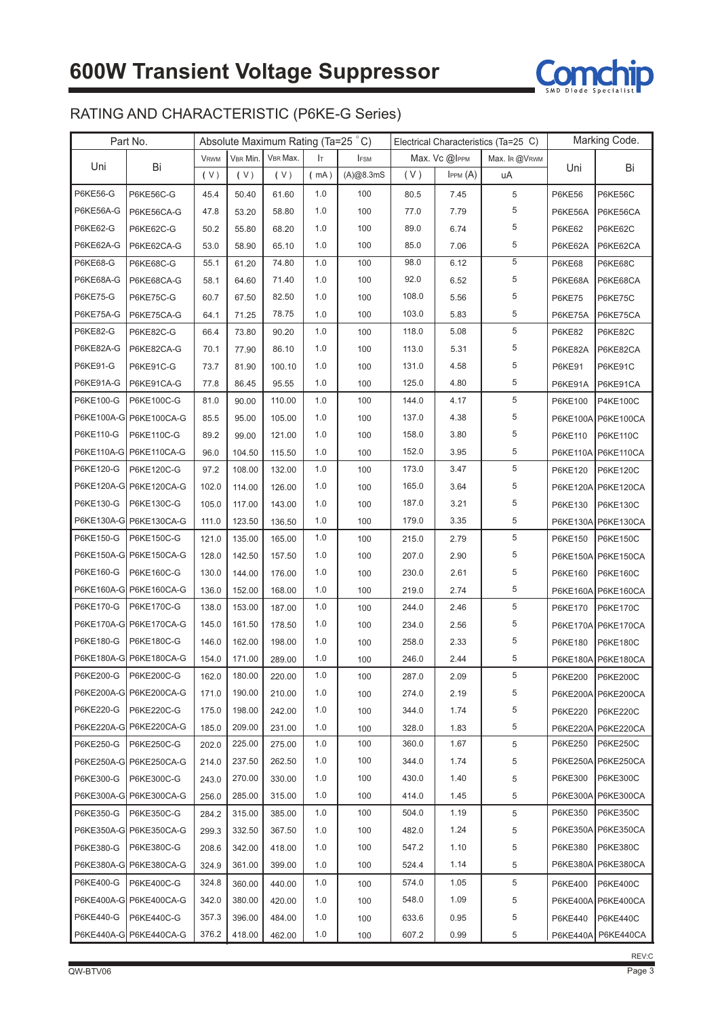

## RATING AND CHARACTERISTIC (P6KE-G Series)

|                 | Part No.               | Absolute Maximum Rating (Ta=25 °C) |          |          |      | Electrical Characteristics (Ta=25 C) |       |                    |               | Marking Code. |                    |
|-----------------|------------------------|------------------------------------|----------|----------|------|--------------------------------------|-------|--------------------|---------------|---------------|--------------------|
|                 |                        | <b>VRWM</b>                        | VBR Min. | VBR Max. | Iт   | <b>IFSM</b>                          |       | Max. $Vc$ $@$ IPPM | Max. IR @VRWM |               |                    |
| Uni             | Bi                     | (V)                                | (V)      | (V)      | (mA) | (A)@8.3mS                            | (V)   | IPPM(A)            | uA            | Uni           | Bi                 |
| P6KE56-G        | P6KE56C-G              | 45.4                               | 50.40    | 61.60    | 1.0  | 100                                  | 80.5  | 7.45               | 5             | <b>P6KE56</b> | P6KE56C            |
| P6KE56A-G       | P6KE56CA-G             | 47.8                               | 53.20    | 58.80    | 1.0  | 100                                  | 77.0  | 7.79               | 5             | P6KE56A       | P6KE56CA           |
| P6KE62-G        | P6KE62C-G              | 50.2                               | 55.80    | 68.20    | 1.0  | 100                                  | 89.0  | 6.74               | 5             | <b>P6KE62</b> | P6KE62C            |
| P6KE62A-G       | P6KE62CA-G             | 53.0                               | 58.90    | 65.10    | 1.0  | 100                                  | 85.0  | 7.06               | 5             | P6KE62A       | P6KE62CA           |
| P6KE68-G        | P6KE68C-G              | 55.1                               | 61.20    | 74.80    | 1.0  | 100                                  | 98.0  | 6.12               | 5             | <b>P6KE68</b> | P6KE68C            |
| P6KE68A-G       | P6KE68CA-G             | 58.1                               | 64.60    | 71.40    | 1.0  | 100                                  | 92.0  | 6.52               | 5             | P6KE68A       | P6KE68CA           |
| <b>P6KE75-G</b> | <b>P6KE75C-G</b>       | 60.7                               | 67.50    | 82.50    | 1.0  | 100                                  | 108.0 | 5.56               | 5             | <b>P6KE75</b> | P6KE75C            |
| P6KE75A-G       | P6KE75CA-G             | 64.1                               | 71.25    | 78.75    | 1.0  | 100                                  | 103.0 | 5.83               | 5             | P6KE75A       | P6KE75CA           |
| P6KE82-G        | P6KE82C-G              | 66.4                               | 73.80    | 90.20    | 1.0  | 100                                  | 118.0 | 5.08               | 5             | <b>P6KE82</b> | P6KE82C            |
| P6KE82A-G       | P6KE82CA-G             | 70.1                               | 77.90    | 86.10    | 1.0  | 100                                  | 113.0 | 5.31               | 5             | P6KE82A       | P6KE82CA           |
| P6KE91-G        | P6KE91C-G              | 73.7                               | 81.90    | 100.10   | 1.0  | 100                                  | 131.0 | 4.58               | 5             | <b>P6KE91</b> | P6KE91C            |
| P6KE91A-G       | P6KE91CA-G             | 77.8                               | 86.45    | 95.55    | 1.0  | 100                                  | 125.0 | 4.80               | 5             | P6KE91A       | P6KE91CA           |
| P6KE100-G       | P6KE100C-G             | 81.0                               | 90.00    | 110.00   | 1.0  | 100                                  | 144.0 | 4.17               | 5             | P6KE100       | <b>P4KE100C</b>    |
|                 | P6KE100A-G P6KE100CA-G | 85.5                               | 95.00    | 105.00   | 1.0  | 100                                  | 137.0 | 4.38               | 5             |               | P6KE100A P6KE100CA |
| P6KE110-G       | P6KE110C-G             | 89.2                               | 99.00    | 121.00   | 1.0  | 100                                  | 158.0 | 3.80               | 5             | P6KE110       | <b>P6KE110C</b>    |
|                 | P6KE110A-G P6KE110CA-G | 96.0                               | 104.50   | 115.50   | 1.0  | 100                                  | 152.0 | 3.95               | 5             |               | P6KE110A P6KE110CA |
| P6KE120-G       | P6KE120C-G             | 97.2                               | 108.00   | 132.00   | 1.0  | 100                                  | 173.0 | 3.47               | 5             | P6KE120       | P6KE120C           |
|                 | P6KE120A-G P6KE120CA-G | 102.0                              | 114.00   | 126.00   | 1.0  | 100                                  | 165.0 | 3.64               | 5             |               | P6KE120A P6KE120CA |
| P6KE130-G       | P6KE130C-G             | 105.0                              | 117.00   | 143.00   | 1.0  | 100                                  | 187.0 | 3.21               | 5             | P6KE130       | P6KE130C           |
|                 | P6KE130A-G P6KE130CA-G | 111.0                              | 123.50   | 136.50   | 1.0  | 100                                  | 179.0 | 3.35               | 5             |               | P6KE130A P6KE130CA |
| P6KE150-G       | P6KE150C-G             | 121.0                              | 135.00   | 165.00   | 1.0  | 100                                  | 215.0 | 2.79               | 5             | P6KE150       | <b>P6KE150C</b>    |
|                 | P6KE150A-G P6KE150CA-G | 128.0                              | 142.50   | 157.50   | 1.0  | 100                                  | 207.0 | 2.90               | 5             |               | P6KE150A P6KE150CA |
| P6KE160-G       | P6KE160C-G             | 130.0                              | 144.00   | 176.00   | 1.0  | 100                                  | 230.0 | 2.61               | 5             | P6KE160       | P6KE160C           |
|                 | P6KE160A-G P6KE160CA-G | 136.0                              | 152.00   | 168.00   | 1.0  | 100                                  | 219.0 | 2.74               | 5             |               | P6KE160A P6KE160CA |
| P6KE170-G       | <b>P6KE170C-G</b>      | 138.0                              | 153.00   | 187.00   | 1.0  | 100                                  | 244.0 | 2.46               | 5             | P6KE170       | <b>P6KE170C</b>    |
|                 | P6KE170A-G P6KE170CA-G | 145.0                              | 161.50   | 178.50   | 1.0  | 100                                  | 234.0 | 2.56               | 5             |               | P6KE170A P6KE170CA |
| P6KE180-G       | P6KE180C-G             | 146.0                              | 162.00   | 198.00   | 1.0  | 100                                  | 258.0 | 2.33               | 5             | P6KE180       | P6KE180C           |
|                 | P6KE180A-G P6KE180CA-G | 154.0                              | 171.00   | 289.00   | 1.0  | 100                                  | 246.0 | 2.44               | 5             |               | P6KE180A P6KE180CA |
|                 | P6KE200-G P6KE200C-G   | 162.0                              | 180.00   | 220.00   | 1.0  | 100                                  | 287.0 | 2.09               | 5             | P6KE200       | <b>P6KE200C</b>    |
|                 | P6KE200A-G P6KE200CA-G | 171.0                              | 190.00   | 210.00   | 1.0  | 100                                  | 274.0 | 2.19               | 5             |               | P6KE200A P6KE200CA |
| P6KE220-G       | P6KE220C-G             | 175.0                              | 198.00   | 242.00   | 1.0  | 100                                  | 344.0 | 1.74               | $\,$ 5 $\,$   | P6KE220       | <b>P6KE220C</b>    |
|                 | P6KE220A-G P6KE220CA-G | 185.0                              | 209.00   | 231.00   | 1.0  | 100                                  | 328.0 | 1.83               | 5             |               | P6KE220A P6KE220CA |
| P6KE250-G       | P6KE250C-G             | 202.0                              | 225.00   | 275.00   | 1.0  | 100                                  | 360.0 | 1.67               | 5             | P6KE250       | <b>P6KE250C</b>    |
|                 | P6KE250A-G P6KE250CA-G | 214.0                              | 237.50   | 262.50   | 1.0  | 100                                  | 344.0 | 1.74               | 5             |               | P6KE250A P6KE250CA |
| P6KE300-G       | P6KE300C-G             | 243.0                              | 270.00   | 330.00   | 1.0  | 100                                  | 430.0 | 1.40               | 5             | P6KE300       | <b>P6KE300C</b>    |
|                 | P6KE300A-G P6KE300CA-G | 256.0                              | 285.00   | 315.00   | 1.0  | 100                                  | 414.0 | 1.45               | 5             |               | P6KE300A P6KE300CA |
| P6KE350-G       | P6KE350C-G             | 284.2                              | 315.00   | 385.00   | 1.0  | 100                                  | 504.0 | 1.19               | 5             | P6KE350       | <b>P6KE350C</b>    |
|                 | P6KE350A-G P6KE350CA-G | 299.3                              | 332.50   | 367.50   | 1.0  | 100                                  | 482.0 | 1.24               | 5             |               | P6KE350A P6KE350CA |
| P6KE380-G       | P6KE380C-G             | 208.6                              | 342.00   | 418.00   | 1.0  | 100                                  | 547.2 | 1.10               | 5             | P6KE380       | <b>P6KE380C</b>    |
|                 | P6KE380A-G P6KE380CA-G | 324.9                              | 361.00   | 399.00   | 1.0  | 100                                  | 524.4 | 1.14               | 5             |               | P6KE380A P6KE380CA |
| P6KE400-G       | P6KE400C-G             | 324.8                              | 360.00   | 440.00   | 1.0  | 100                                  | 574.0 | 1.05               | 5             | P6KE400       | <b>P6KE400C</b>    |
|                 | P6KE400A-G P6KE400CA-G | 342.0                              | 380.00   | 420.00   | 1.0  | 100                                  | 548.0 | 1.09               | 5             |               | P6KE400A P6KE400CA |
| P6KE440-G       | P6KE440C-G             | 357.3                              | 396.00   | 484.00   | 1.0  | 100                                  | 633.6 | 0.95               | 5             | P6KE440       | <b>P6KE440C</b>    |
|                 | P6KE440A-G P6KE440CA-G | 376.2                              | 418.00   | 462.00   | 1.0  | 100                                  | 607.2 | 0.99               | 5             |               | P6KE440A P6KE440CA |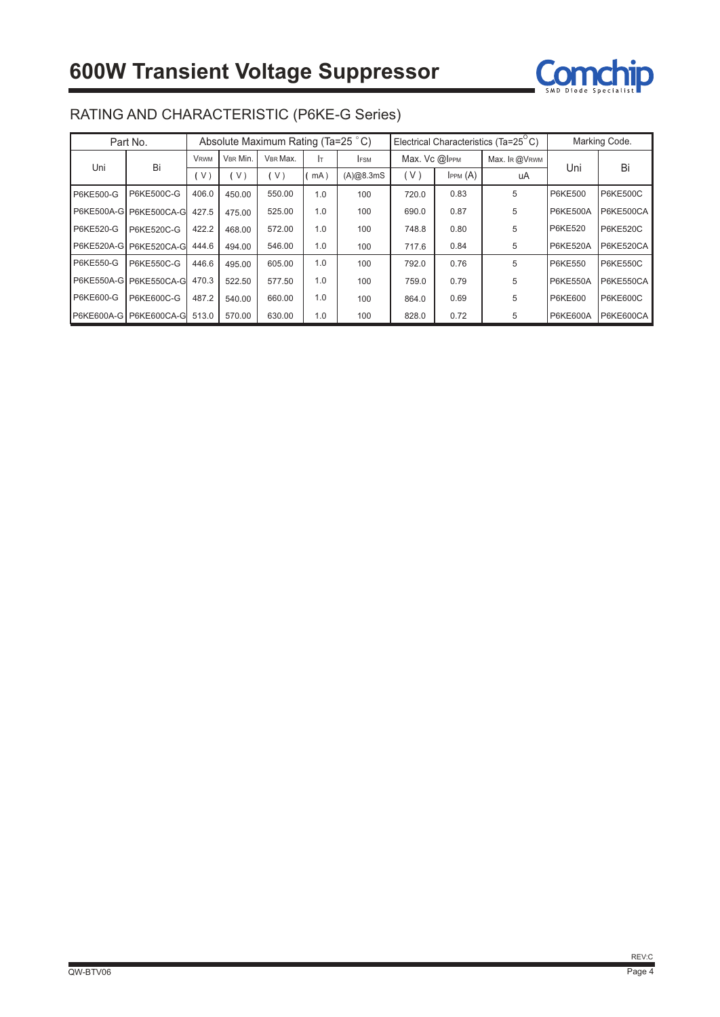

|                  | Part No.                | Absolute Maximum Rating (Ta=25 °C) |          |        |            |               | Electrical Characteristics (Ta=25 <sup>°</sup> C)<br>Marking Code. |               |    |                 |                  |
|------------------|-------------------------|------------------------------------|----------|--------|------------|---------------|--------------------------------------------------------------------|---------------|----|-----------------|------------------|
| Bi               | <b>VRWM</b>             | VBR Min.                           | VBR Max. | Iт.    | <b>FSM</b> | Max. Vc @IPPM |                                                                    | Max. IR @VRWM |    |                 |                  |
| Uni              |                         | V                                  | V        | V)     | mA)        | (A)@8.3mS     | (V)                                                                | IPPM(A)       | uA | Uni             | Bi               |
| <b>P6KE500-G</b> | P6KE500C-G              | 406.0                              | 450.00   | 550.00 | 1.0        | 100           | 720.0                                                              | 0.83          | 5  | <b>P6KE500</b>  | <b>P6KE500C</b>  |
|                  | P6KE500A-G P6KE500CA-G  | 427.5                              | 475.00   | 525.00 | 1.0        | 100           | 690.0                                                              | 0.87          | 5  | P6KE500A        | <b>P6KE500CA</b> |
| <b>P6KE520-G</b> | P6KE520C-G              | 422.2                              | 468.00   | 572.00 | 1.0        | 100           | 748.8                                                              | 0.80          | 5  | <b>P6KE520</b>  | <b>P6KE520C</b>  |
|                  | P6KE520A-G P6KE520CA-G  | 444.6                              | 494.00   | 546.00 | 1.0        | 100           | 717.6                                                              | 0.84          | 5  | <b>P6KE520A</b> | P6KE520CA        |
| <b>P6KE550-G</b> | P6KE550C-G              | 446.6                              | 495.00   | 605.00 | 1.0        | 100           | 792.0                                                              | 0.76          | 5  | <b>P6KE550</b>  | <b>P6KE550C</b>  |
|                  | P6KE550A-G P6KE550CA-G  | 470.3                              | 522.50   | 577.50 | 1.0        | 100           | 759.0                                                              | 0.79          | 5  | P6KE550A        | P6KE550CA        |
| P6KE600-G        | P6KE600C-G              | 487.2                              | 540.00   | 660.00 | 1.0        | 100           | 864.0                                                              | 0.69          | 5  | <b>P6KE600</b>  | <b>P6KE600C</b>  |
|                  | P6KE600A-G P6KE600CA-GI | 513.0                              | 570.00   | 630.00 | 1.0        | 100           | 828.0                                                              | 0.72          | 5  | P6KE600A        | <b>P6KE600CA</b> |

## RATING AND CHARACTERISTIC (P6KE-G Series)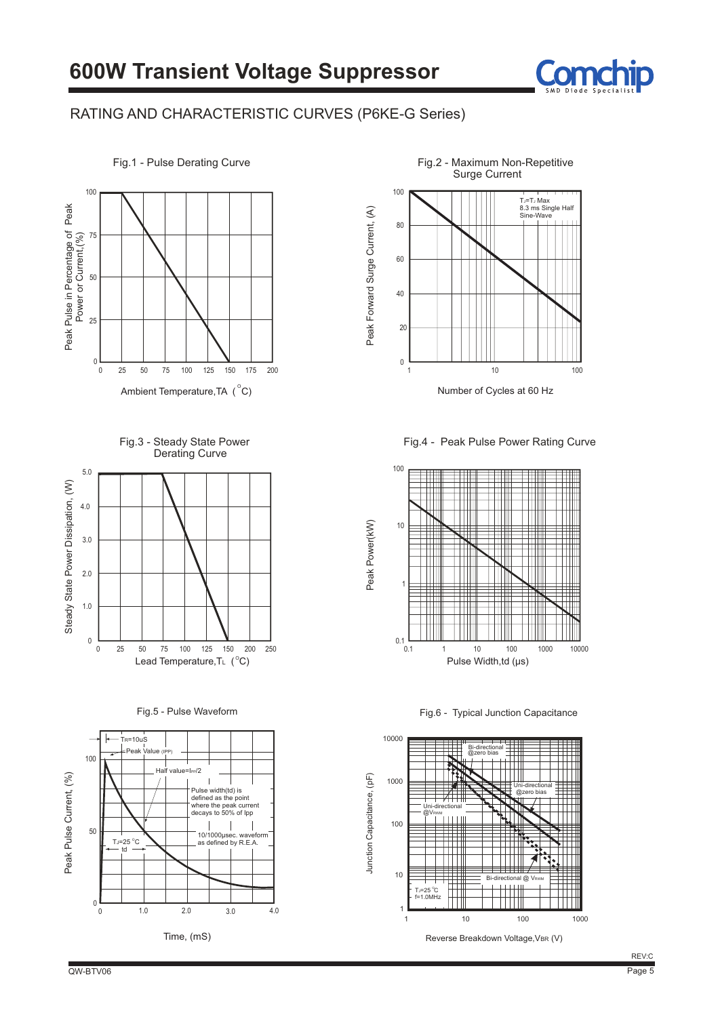

#### RATING AND CHARACTERISTIC CURVES (P6KE-G Series)



Fig.3 - Steady State Power Derating Curve



Fig.5 - Pulse Waveform





Number of Cycles at 60 Hz

Fig.4 - Peak Pulse Power Rating Curve



Fig.6 - Typical Junction Capacitance



Reverse Breakdown Voltage, VBR (V)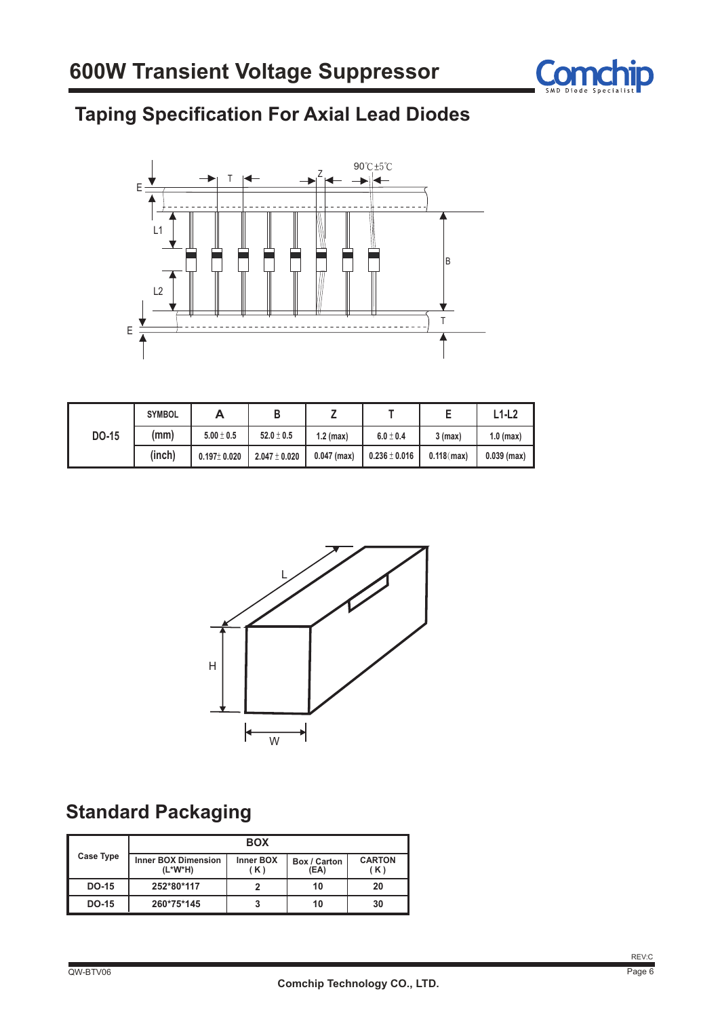

# **Taping Specification For Axial Lead Diodes**



|       | <b>SYMBOL</b> | Α                 |                   |               |                   |               | $L1-L2$       |
|-------|---------------|-------------------|-------------------|---------------|-------------------|---------------|---------------|
| DO-15 | (mm)          | $5.00 \pm 0.5$    | $52.0 \pm 0.5$    | $1.2$ (max)   | $6.0 \pm 0.4$     | $3$ (max)     | $1.0$ (max)   |
|       | (inch)        | $0.197 \pm 0.020$ | $2.047 \pm 0.020$ | $0.047$ (max) | $0.236 \pm 0.016$ | $0.118$ (max) | $0.039$ (max) |



## **Standard Packaging**

|              | <b>BOX</b>                            |                         |                      |                      |  |  |  |  |  |
|--------------|---------------------------------------|-------------------------|----------------------|----------------------|--|--|--|--|--|
| Case Type    | <b>Inner BOX Dimension</b><br>(L*W*H) | <b>Inner BOX</b><br>(K) | Box / Carton<br>(EA) | <b>CARTON</b><br>(K) |  |  |  |  |  |
| <b>DO-15</b> | 252*80*117                            |                         | 10                   | 20                   |  |  |  |  |  |
| DO-15        | 260*75*145                            |                         | 10                   | 30                   |  |  |  |  |  |